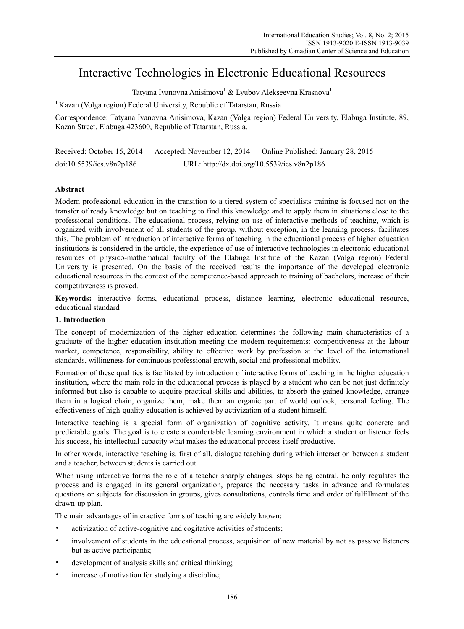# Interactive Technologies in Electronic Educational Resources

Tatyana Ivanovna Anisimova<sup>1</sup> & Lyubov Alekseevna Krasnova<sup>1</sup>

<sup>1</sup> Kazan (Volga region) Federal University, Republic of Tatarstan, Russia

Correspondence: Tatyana Ivanovna Anisimova, Kazan (Volga region) Federal University, Elabuga Institute, 89, Kazan Street, Elabuga 423600, Republic of Tatarstan, Russia.

| Received: October 15, 2014 | Accepted: November 12, 2014                 | Online Published: January 28, 2015 |
|----------------------------|---------------------------------------------|------------------------------------|
| doi:10.5539/ies.v8n2p186   | URL: http://dx.doi.org/10.5539/ies.v8n2p186 |                                    |

# **Abstract**

Modern professional education in the transition to a tiered system of specialists training is focused not on the transfer of ready knowledge but on teaching to find this knowledge and to apply them in situations close to the professional conditions. The educational process, relying on use of interactive methods of teaching, which is organized with involvement of all students of the group, without exception, in the learning process, facilitates this. The problem of introduction of interactive forms of teaching in the educational process of higher education institutions is considered in the article, the experience of use of interactive technologies in electronic educational resources of physico-mathematical faculty of the Elabuga Institute of the Kazan (Volga region) Federal University is presented. On the basis of the received results the importance of the developed electronic educational resources in the context of the competence-based approach to training of bachelors, increase of their competitiveness is proved.

**Keywords:** interactive forms, educational process, distance learning, electronic educational resource, educational standard

## **1. Introduction**

The concept of modernization of the higher education determines the following main characteristics of a graduate of the higher education institution meeting the modern requirements: competitiveness at the labour market, competence, responsibility, ability to effective work by profession at the level of the international standards, willingness for continuous professional growth, social and professional mobility.

Formation of these qualities is facilitated by introduction of interactive forms of teaching in the higher education institution, where the main role in the educational process is played by a student who can be not just definitely informed but also is capable to acquire practical skills and abilities, to absorb the gained knowledge, arrange them in a logical chain, organize them, make them an organic part of world outlook, personal feeling. The effectiveness of high-quality education is achieved by activization of a student himself.

Interactive teaching is a special form of organization of cognitive activity. It means quite concrete and predictable goals. The goal is to create a comfortable learning environment in which a student or listener feels his success, his intellectual capacity what makes the educational process itself productive.

In other words, interactive teaching is, first of all, dialogue teaching during which interaction between a student and a teacher, between students is carried out.

When using interactive forms the role of a teacher sharply changes, stops being central, he only regulates the process and is engaged in its general organization, prepares the necessary tasks in advance and formulates questions or subjects for discussion in groups, gives consultations, controls time and order of fulfillment of the drawn-up plan.

The main advantages of interactive forms of teaching are widely known:

- activization of active-cognitive and cogitative activities of students;
- involvement of students in the educational process, acquisition of new material by not as passive listeners but as active participants;
- development of analysis skills and critical thinking;
- increase of motivation for studying a discipline;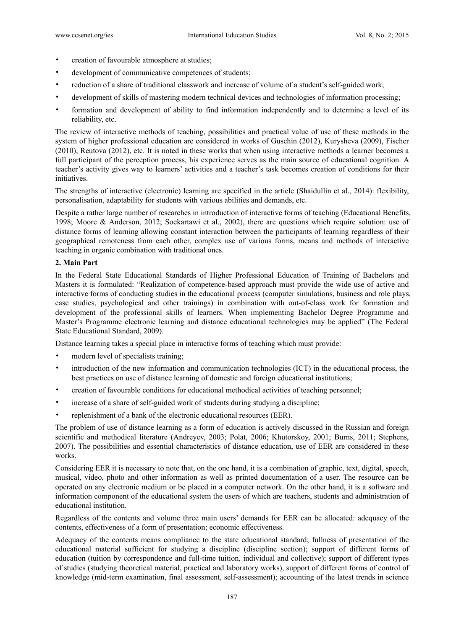- creation of favourable atmosphere at studies;
- development of communicative competences of students;
- reduction of a share of traditional classwork and increase of volume of a student's self-guided work;
- development of skills of mastering modern technical devices and technologies of information processing;
- formation and development of ability to find information independently and to determine a level of its reliability, etc.

The review of interactive methods of teaching, possibilities and practical value of use of these methods in the system of higher professional education are considered in works of Guschin (2012), Kurysheva (2009), Fischer (2010), Reutova (2012), etc. It is noted in these works that when using interactive methods a learner becomes a full participant of the perception process, his experience serves as the main source of educational cognition. A teacher's activity gives way to learners' activities and a teacher's task becomes creation of conditions for their initiatives.

The strengths of interactive (electronic) learning are specified in the article (Shaidullin et al., 2014): flexibility, personalisation, adaptability for students with various abilities and demands, etc.

Despite a rather large number of researches in introduction of interactive forms of teaching (Educational Benefits, 1998; Moore & Anderson, 2012; Soekartawi et al., 2002), there are questions which require solution: use of distance forms of learning allowing constant interaction between the participants of learning regardless of their geographical remoteness from each other, complex use of various forms, means and methods of interactive teaching in organic combination with traditional ones.

## **2. Main Part**

In the Federal State Educational Standards of Higher Professional Education of Training of Bachelors and Masters it is formulated: "Realization of competence-based approach must provide the wide use of active and interactive forms of conducting studies in the educational process (computer simulations, business and role plays, case studies, psychological and other trainings) in combination with out-of-class work for formation and development of the professional skills of learners. When implementing Bachelor Degree Programme and Master's Programme electronic learning and distance educational technologies may be applied" (The Federal State Educational Standard, 2009).

Distance learning takes a special place in interactive forms of teaching which must provide:

- modern level of specialists training;
- introduction of the new information and communication technologies (ICT) in the educational process, the best practices on use of distance learning of domestic and foreign educational institutions;
- creation of favourable conditions for educational methodical activities of teaching personnel;
- increase of a share of self-guided work of students during studying a discipline;
- replenishment of a bank of the electronic educational resources (EER).

The problem of use of distance learning as a form of education is actively discussed in the Russian and foreign scientific and methodical literature (Andreyev, 2003; Polat, 2006; Khutorskoy, 2001; Burns, 2011; Stephens, 2007). The possibilities and essential characteristics of distance education, use of EER are considered in these works.

Considering EER it is necessary to note that, on the one hand, it is a combination of graphic, text, digital, speech, musical, video, photo and other information as well as printed documentation of a user. The resource can be operated on any electronic medium or be placed in a computer network. On the other hand, it is a software and information component of the educational system the users of which are teachers, students and administration of educational institution.

Regardless of the contents and volume three main users' demands for EER can be allocated: adequacy of the contents, effectiveness of a form of presentation; economic effectiveness.

Adequacy of the contents means compliance to the state educational standard; fullness of presentation of the educational material sufficient for studying a discipline (discipline section); support of different forms of education (tuition by correspondence and full-time tuition, individual and collective); support of different types of studies (studying theoretical material, practical and laboratory works), support of different forms of control of knowledge (mid-term examination, final assessment, self-assessment); accounting of the latest trends in science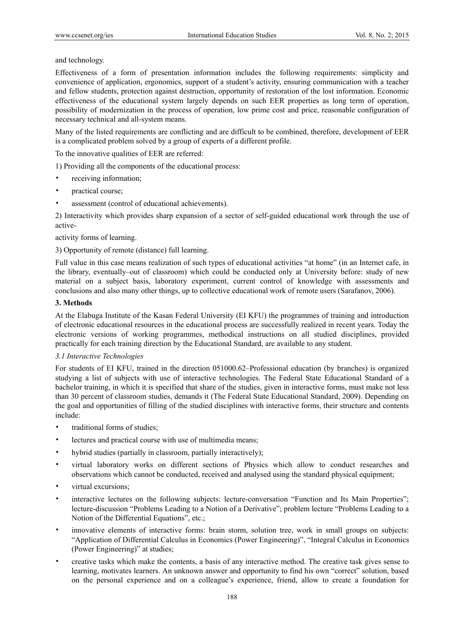and technology.

Effectiveness of a form of presentation information includes the following requirements: simplicity and convenience of application, ergonomics, support of a student's activity, ensuring communication with a teacher and fellow students, protection against destruction, opportunity of restoration of the lost information. Economic effectiveness of the educational system largely depends on such EER properties as long term of operation, possibility of modernization in the process of operation, low prime cost and price, reasonable configuration of necessary technical and all-system means.

Many of the listed requirements are conflicting and are difficult to be combined, therefore, development of EER is a complicated problem solved by a group of experts of a different profile.

To the innovative qualities of EER are referred:

1) Providing all the components of the educational process:

- receiving information;
- practical course;
- assessment (control of educational achievements).

2) Interactivity which provides sharp expansion of a sector of self-guided educational work through the use of active-

activity forms of learning.

3) Opportunity of remote (distance) full learning.

Full value in this case means realization of such types of educational activities "at home" (in an Internet cafe, in the library, eventually–out of classroom) which could be conducted only at University before: study of new material on a subject basis, laboratory experiment, current control of knowledge with assessments and conclusions and also many other things, up to collective educational work of remote users (Sarafanov, 2006).

## **3. Methods**

At the Elabuga Institute of the Kasan Federal University (EI KFU) the programmes of training and introduction of electronic educational resources in the educational process are successfully realized in recent years. Today the electronic versions of working programmes, methodical instructions on all studied disciplines, provided practically for each training direction by the Educational Standard, are available to any student.

## *3.1 Interactive Technologies*

For students of EI KFU, trained in the direction 051000.62–Professional education (by branches) is organized studying a list of subjects with use of interactive technologies. The Federal State Educational Standard of a bachelor training, in which it is specified that share of the studies, given in interactive forms, must make not less than 30 percent of classroom studies, demands it (The Federal State Educational Standard, 2009). Depending on the goal and opportunities of filling of the studied disciplines with interactive forms, their structure and contents include:

- traditional forms of studies;
- lectures and practical course with use of multimedia means;
- hybrid studies (partially in classroom, partially interactively);
- virtual laboratory works on different sections of Physics which allow to conduct researches and observations which cannot be conducted, received and analysed using the standard physical equipment;
- virtual excursions;
- interactive lectures on the following subjects: lecture-conversation "Function and Its Main Properties"; lecture-discussion "Problems Leading to a Notion of a Derivative"; problem lecture "Problems Leading to a Notion of the Differential Equations", etc.;
- innovative elements of interactive forms: brain storm, solution tree, work in small groups on subjects: "Application of Differential Calculus in Economics (Power Engineering)", "Integral Calculus in Economics (Power Engineering)" at studies;
- creative tasks which make the contents, a basis of any interactive method. The creative task gives sense to learning, motivates learners. An unknown answer and opportunity to find his own "correct" solution, based on the personal experience and on a colleague's experience, friend, allow to create a foundation for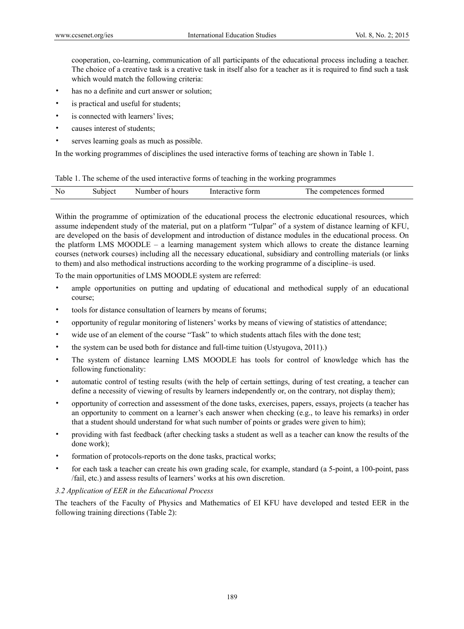cooperation, co-learning, communication of all participants of the educational process including a teacher. The choice of a creative task is a creative task in itself also for a teacher as it is required to find such a task which would match the following criteria:

- has no a definite and curt answer or solution;
- is practical and useful for students;
- is connected with learners' lives;
- causes interest of students;
- serves learning goals as much as possible.

In the working programmes of disciplines the used interactive forms of teaching are shown in Table 1.

|  |  |  | Table 1. The scheme of the used interactive forms of teaching in the working programmes |
|--|--|--|-----------------------------------------------------------------------------------------|
|  |  |  |                                                                                         |

| N <sub>0</sub> | subiect | hours<br>Number of | Interactive form | tormed<br>competences<br>r ne - |
|----------------|---------|--------------------|------------------|---------------------------------|
|                |         |                    |                  |                                 |

Within the programme of optimization of the educational process the electronic educational resources, which assume independent study of the material, put on a platform "Tulpar" of a system of distance learning of KFU, are developed on the basis of development and introduction of distance modules in the educational process. On the platform LMS MOODLE – a learning management system which allows to create the distance learning courses (network courses) including all the necessary educational, subsidiary and controlling materials (or links to them) and also methodical instructions according to the working programme of a discipline–is used.

To the main opportunities of LMS MOODLE system are referred:

- ample opportunities on putting and updating of educational and methodical supply of an educational course;
- tools for distance consultation of learners by means of forums;
- opportunity of regular monitoring of listeners' works by means of viewing of statistics of attendance;
- wide use of an element of the course "Task" to which students attach files with the done test;
- the system can be used both for distance and full-time tuition (Ustyugova, 2011).)
- The system of distance learning LMS MOODLE has tools for control of knowledge which has the following functionality:
- automatic control of testing results (with the help of certain settings, during of test creating, a teacher can define a necessity of viewing of results by learners independently or, on the contrary, not display them);
- opportunity of correction and assessment of the done tasks, exercises, papers, essays, projects (a teacher has an opportunity to comment on a learner's each answer when checking (e.g., to leave his remarks) in order that a student should understand for what such number of points or grades were given to him);
- providing with fast feedback (after checking tasks a student as well as a teacher can know the results of the done work);
- formation of protocols-reports on the done tasks, practical works;
- for each task a teacher can create his own grading scale, for example, standard (a 5-point, a 100-point, pass /fail, etc.) and assess results of learners' works at his own discretion.

## *3.2 Application of EER in the Educational Process*

The teachers of the Faculty of Physics and Mathematics of EI KFU have developed and tested EER in the following training directions (Table 2):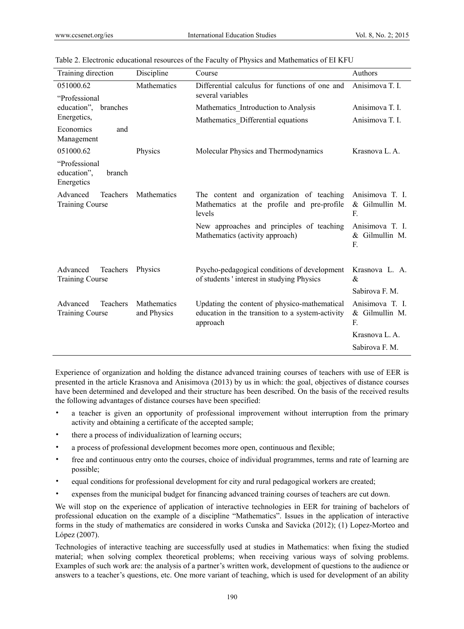| Training direction                                      | Discipline                 | Course                                                                                                       | Authors                                 |
|---------------------------------------------------------|----------------------------|--------------------------------------------------------------------------------------------------------------|-----------------------------------------|
| 051000.62                                               | Mathematics                | Differential calculus for functions of one and                                                               | Anisimova T. I.                         |
| "Professional<br>education",<br>branches<br>Energetics, |                            | several variables<br>Mathematics Introduction to Analysis                                                    | Anisimova T. I.                         |
| Economics<br>and<br>Management                          |                            | Mathematics Differential equations                                                                           | Anisimova T. I.                         |
| 051000.62                                               | Physics                    | Molecular Physics and Thermodynamics                                                                         | Krasnova L. A.                          |
| "Professional<br>education",<br>branch<br>Energetics    |                            |                                                                                                              |                                         |
| Advanced<br>Teachers<br><b>Training Course</b>          | <b>Mathematics</b>         | The content and organization of teaching<br>Mathematics at the profile and pre-profile<br>levels             | Anisimova T. I.<br>& Gilmullin M.<br>F. |
|                                                         |                            | New approaches and principles of teaching<br>Mathematics (activity approach)                                 | Anisimova T. I.<br>& Gilmullin M.<br>F. |
| Advanced<br>Teachers<br><b>Training Course</b>          | Physics                    | Psycho-pedagogical conditions of development<br>of students ' interest in studying Physics                   | Krasnova L. A.<br>&<br>Sabirova F. M.   |
| Advanced<br><b>Teachers</b><br><b>Training Course</b>   | Mathematics<br>and Physics | Updating the content of physico-mathematical<br>education in the transition to a system-activity<br>approach | Anisimova T. I.<br>& Gilmullin M.<br>F. |
|                                                         |                            |                                                                                                              | Krasnova L. A.                          |
|                                                         |                            |                                                                                                              | Sabirova F. M.                          |

Table 2. Electronic educational resources of the Faculty of Physics and Mathematics of EI KFU

Experience of organization and holding the distance advanced training courses of teachers with use of EER is presented in the article Krasnova and Anisimova (2013) by us in which: the goal, objectives of distance courses have been determined and developed and their structure has been described. On the basis of the received results the following advantages of distance courses have been specified:

- a teacher is given an opportunity of professional improvement without interruption from the primary activity and obtaining a certificate of the accepted sample;
- there a process of individualization of learning occurs;
- a process of professional development becomes more open, continuous and flexible;
- free and continuous entry onto the courses, choice of individual programmes, terms and rate of learning are possible;
- equal conditions for professional development for city and rural pedagogical workers are created;
- expenses from the municipal budget for financing advanced training courses of teachers are cut down.

We will stop on the experience of application of interactive technologies in EER for training of bachelors of professional education on the example of a discipline "Mathematics". Issues in the application of interactive forms in the study of mathematics are considered in works Cunska and Savicka (2012); (1) Lopez-Morteo and López (2007).

Technologies of interactive teaching are successfully used at studies in Mathematics: when fixing the studied material; when solving complex theoretical problems; when receiving various ways of solving problems. Examples of such work are: the analysis of a partner's written work, development of questions to the audience or answers to a teacher's questions, etc. One more variant of teaching, which is used for development of an ability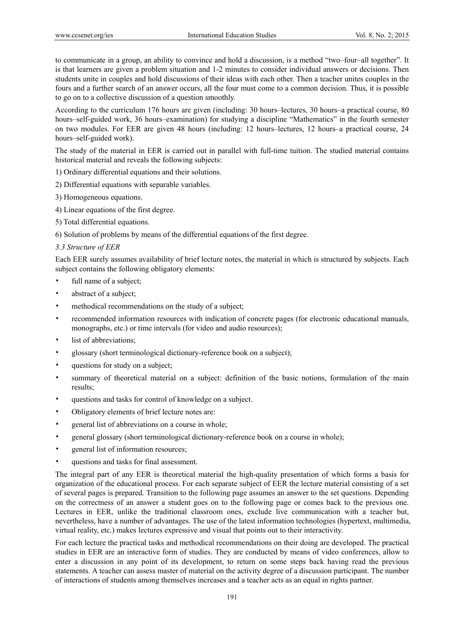to communicate in a group, an ability to convince and hold a discussion, is a method "two–four–all together". It is that learners are given a problem situation and 1-2 minutes to consider individual answers or decisions. Then students unite in couples and hold discussions of their ideas with each other. Then a teacher unites couples in the fours and a further search of an answer occurs, all the four must come to a common decision. Thus, it is possible to go on to a collective discussion of a question smoothly.

According to the curriculum 176 hours are given (including: 30 hours–lectures, 30 hours–a practical course, 80 hours–self-guided work, 36 hours–examination) for studying a discipline "Mathematics" in the fourth semester on two modules. For EER are given 48 hours (including: 12 hours–lectures, 12 hours–a practical course, 24 hours–self-guided work).

The study of the material in EER is carried out in parallel with full-time tuition. The studied material contains historical material and reveals the following subjects:

1) Ordinary differential equations and their solutions.

2) Differential equations with separable variables.

- 3) Homogeneous equations.
- 4) Linear equations of the first degree.
- 5) Total differential equations.
- 6) Solution of problems by means of the differential equations of the first degree.

## *3.3 Structure of EER*

Each EER surely assumes availability of brief lecture notes, the material in which is structured by subjects. Each subject contains the following obligatory elements:

- full name of a subject;
- abstract of a subject;
- methodical recommendations on the study of a subject;
- recommended information resources with indication of concrete pages (for electronic educational manuals, monographs, etc.) or time intervals (for video and audio resources);
- list of abbreviations;
- glossary (short terminological dictionary-reference book on a subject);
- questions for study on a subject;
- summary of theoretical material on a subject: definition of the basic notions, formulation of the main results;
- questions and tasks for control of knowledge on a subject.
- Obligatory elements of brief lecture notes are:
- general list of abbreviations on a course in whole;
- general glossary (short terminological dictionary-reference book on a course in whole);
- general list of information resources;
- questions and tasks for final assessment.

The integral part of any EER is theoretical material the high-quality presentation of which forms a basis for organization of the educational process. For each separate subject of EER the lecture material consisting of a set of several pages is prepared. Transition to the following page assumes an answer to the set questions. Depending on the correctness of an answer a student goes on to the following page or comes back to the previous one. Lectures in EER, unlike the traditional classroom ones, exclude live communication with a teacher but, nevertheless, have a number of advantages. The use of the latest information technologies (hypertext, multimedia, virtual reality, etc.) makes lectures expressive and visual that points out to their interactivity.

For each lecture the practical tasks and methodical recommendations on their doing are developed. The practical studies in EER are an interactive form of studies. They are conducted by means of video conferences, allow to enter a discussion in any point of its development, to return on some steps back having read the previous statements. A teacher can assess master of material on the activity degree of a discussion participant. The number of interactions of students among themselves increases and a teacher acts as an equal in rights partner.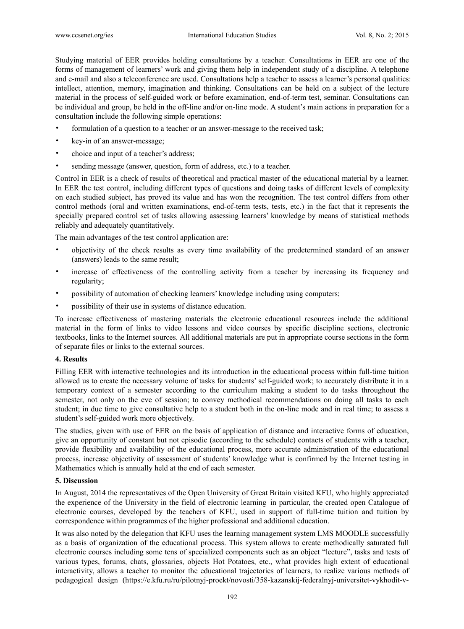Studying material of EER provides holding consultations by a teacher. Consultations in EER are one of the forms of management of learners' work and giving them help in independent study of a discipline. A telephone and e-mail and also a teleconference are used. Consultations help a teacher to assess a learner's personal qualities: intellect, attention, memory, imagination and thinking. Consultations can be held on a subject of the lecture material in the process of self-guided work or before examination, end-of-term test, seminar. Consultations can be individual and group, be held in the off-line and/or on-line mode. A student's main actions in preparation for a consultation include the following simple operations:

- formulation of a question to a teacher or an answer-message to the received task;
- key-in of an answer-message;
- choice and input of a teacher's address;
- sending message (answer, question, form of address, etc.) to a teacher.

Control in EER is a check of results of theoretical and practical master of the educational material by a learner. In EER the test control, including different types of questions and doing tasks of different levels of complexity on each studied subject, has proved its value and has won the recognition. The test control differs from other control methods (oral and written examinations, end-of-term tests, tests, etc.) in the fact that it represents the specially prepared control set of tasks allowing assessing learners' knowledge by means of statistical methods reliably and adequately quantitatively.

The main advantages of the test control application are:

- objectivity of the check results as every time availability of the predetermined standard of an answer (answers) leads to the same result;
- increase of effectiveness of the controlling activity from a teacher by increasing its frequency and regularity;
- possibility of automation of checking learners' knowledge including using computers;
- possibility of their use in systems of distance education.

To increase effectiveness of mastering materials the electronic educational resources include the additional material in the form of links to video lessons and video courses by specific discipline sections, electronic textbooks, links to the Internet sources. All additional materials are put in appropriate course sections in the form of separate files or links to the external sources.

## **4. Results**

Filling EER with interactive technologies and its introduction in the educational process within full-time tuition allowed us to create the necessary volume of tasks for students' self-guided work; to accurately distribute it in a temporary context of a semester according to the curriculum making a student to do tasks throughout the semester, not only on the eve of session; to convey methodical recommendations on doing all tasks to each student; in due time to give consultative help to a student both in the on-line mode and in real time; to assess a student's self-guided work more objectively.

The studies, given with use of EER on the basis of application of distance and interactive forms of education, give an opportunity of constant but not episodic (according to the schedule) contacts of students with a teacher, provide flexibility and availability of the educational process, more accurate administration of the educational process, increase objectivity of assessment of students' knowledge what is confirmed by the Internet testing in Mathematics which is annually held at the end of each semester.

## **5. Discussion**

In August, 2014 the representatives of the Open University of Great Britain visited KFU, who highly appreciated the experience of the University in the field of electronic learning–in particular, the created open Catalogue of electronic courses, developed by the teachers of KFU, used in support of full-time tuition and tuition by correspondence within programmes of the higher professional and additional education.

It was also noted by the delegation that KFU uses the learning management system LMS MOODLE successfully as a basis of organization of the educational process. This system allows to create methodically saturated full electronic courses including some tens of specialized components such as an object "lecture", tasks and tests of various types, forums, chats, glossaries, objects Hot Potatoes, etc., what provides high extent of educational interactivity, allows a teacher to monitor the educational trajectories of learners, to realize various methods of pedagogical design (https://e.kfu.ru/ru/pilotnyj-proekt/novosti/358-kazanskij-federalnyj-universitet-vykhodit-v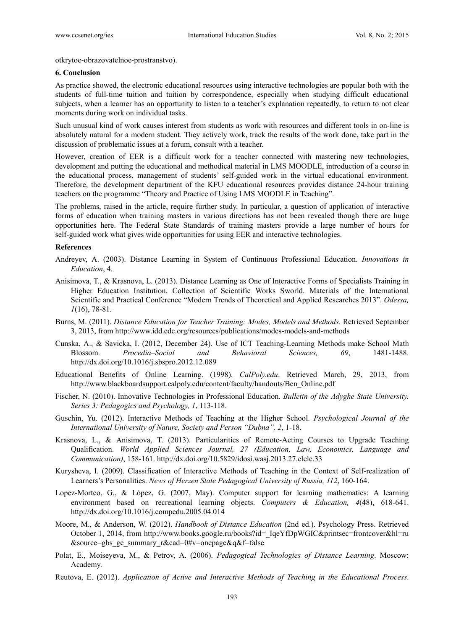otkrytoe-obrazovatelnoe-prostranstvo).

#### **6. Conclusion**

As practice showed, the electronic educational resources using interactive technologies are popular both with the students of full-time tuition and tuition by correspondence, especially when studying difficult educational subjects, when a learner has an opportunity to listen to a teacher's explanation repeatedly, to return to not clear moments during work on individual tasks.

Such unusual kind of work causes interest from students as work with resources and different tools in on-line is absolutely natural for a modern student. They actively work, track the results of the work done, take part in the discussion of problematic issues at a forum, consult with a teacher.

However, creation of EER is a difficult work for a teacher connected with mastering new technologies, development and putting the educational and methodical material in LMS MOODLE, introduction of a course in the educational process, management of students' self-guided work in the virtual educational environment. Therefore, the development department of the KFU educational resources provides distance 24-hour training teachers on the programme "Theory and Practice of Using LMS MOODLE in Teaching".

The problems, raised in the article, require further study. In particular, a question of application of interactive forms of education when training masters in various directions has not been revealed though there are huge opportunities here. The Federal State Standards of training masters provide a large number of hours for self-guided work what gives wide opportunities for using EER and interactive technologies.

#### **References**

- Andreyev, A. (2003). Distance Learning in System of Continuous Professional Education. *Innovations in Education*, 4.
- Anisimova, T., & Krasnova, L. (2013). Distance Learning as One of Interactive Forms of Specialists Training in Higher Education Institution. Collection of Scientific Works Sworld. Materials of the International Scientific and Practical Conference "Modern Trends of Theoretical and Applied Researches 2013". *Odessa, 1*(16), 78-81.
- Burns, M. (2011). *Distance Education for Teacher Training: Modes, Models and Methods*. Retrieved September 3, 2013, from http://www.idd.edc.org/resources/publications/modes-models-and-methods
- Cunska, A., & Savicka, I. (2012, December 24). Use of ICT Teaching-Learning Methods make School Math Blossom. *Procedia–Social and Behavioral Sciences, 69*, 1481-1488. http://dx.doi.org/10.1016/j.sbspro.2012.12.089
- Educational Benefits of Online Learning. (1998). *CalPoly.edu*. Retrieved March, 29, 2013, from http://www.blackboardsupport.calpoly.edu/content/faculty/handouts/Ben\_Online.pdf
- Fischer, N. (2010). Innovative Technologies in Professional Education*. Bulletin of the Adyghe State University. Series 3: Pedagogics and Psychology, 1*, 113-118.
- Guschin, Yu. (2012). Interactive Methods of Teaching at the Higher School. *Psychological Journal of the International University of Nature, Society and Person "Dubna", 2*, 1-18.
- Krasnova, L., & Anisimova, T. (2013). Particularities of Remote-Acting Courses to Upgrade Teaching Qualification. *World Applied Sciences Journal, 27 (Education, Law, Economics, Language and Communication)*, 158-161. http://dx.doi.org/10.5829/idosi.wasj.2013.27.elelc.33
- Kurysheva, I. (2009). Classification of Interactive Methods of Teaching in the Context of Self-realization of Learners's Personalities. *News of Herzen State Pedagogical University of Russia, 112*, 160-164.
- Lopez-Morteo, G., & López, G. (2007, May). Computer support for learning mathematics: A learning environment based on recreational learning objects. *Computers & Education, 4*(48), 618-641. http://dx.doi.org/10.1016/j.compedu.2005.04.014
- Moore, M., & Anderson, W. (2012). *Handbook of Distance Education* (2nd ed.). Psychology Press. Retrieved October 1, 2014, from http://www.books.google.ru/books?id=\_IqeYfDpWGIC&printsec=frontcover&hl=ru &source=gbs\_ge\_summary\_r&cad=0#v=onepage&q&f=false
- Polat, E., Moiseyeva, M., & Petrov, A. (2006). *Pedagogical Technologies of Distance Learning*. Moscow: Academy.
- Reutova, E. (2012). *Application of Active and Interactive Methods of Teaching in the Educational Process*.